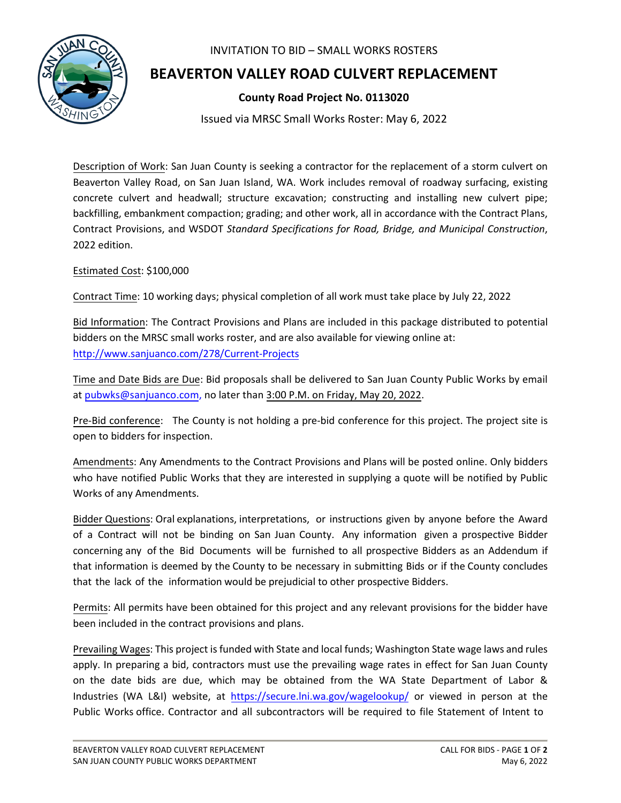

## INVITATION TO BID – SMALL WORKS ROSTERS

## **BEAVERTON VALLEY ROAD CULVERT REPLACEMENT**

## **County Road Project No. 0113020**

Issued via MRSC Small Works Roster: May 6, 2022

Description of Work: San Juan County is seeking a contractor for the replacement of a storm culvert on Beaverton Valley Road, on San Juan Island, WA. Work includes removal of roadway surfacing, existing concrete culvert and headwall; structure excavation; constructing and installing new culvert pipe; backfilling, embankment compaction; grading; and other work, all in accordance with the Contract Plans, Contract Provisions, and WSDOT *Standard Specifications for Road, Bridge, and Municipal Construction*, 2022 edition.

## Estimated Cost: \$100,000

Contract Time: 10 working days; physical completion of all work must take place by July 22, 2022

Bid Information: The Contract Provisions and Plans are included in this package distributed to potential bidders on the MRSC small works roster, and are also available for viewing online at: <http://www.sanjuanco.com/278/Current-Projects>

Time and Date Bids are Due: Bid proposals shall be delivered to San Juan County Public Works by email at [pubwks@sanjuanco.com,](mailto:pubwks@sanjuanco.com) no later than 3:00 P.M. on Friday, May 20, 2022.

Pre-Bid conference: The County is not holding a pre-bid conference for this project. The project site is open to bidders for inspection.

Amendments: Any Amendments to the Contract Provisions and Plans will be posted online. Only bidders who have notified Public Works that they are interested in supplying a quote will be notified by Public Works of any Amendments.

Bidder Questions: Oral explanations, interpretations, or instructions given by anyone before the Award of a Contract will not be binding on San Juan County. Any information given a prospective Bidder concerning any of the Bid Documents will be furnished to all prospective Bidders as an Addendum if that information is deemed by the County to be necessary in submitting Bids or if the County concludes that the lack of the information would be prejudicial to other prospective Bidders.

Permits: All permits have been obtained for this project and any relevant provisions for the bidder have been included in the contract provisions and plans.

Prevailing Wages: This project is funded with State and local funds; Washington State wage laws and rules apply. In preparing a bid, contractors must use the prevailing wage rates in effect for San Juan County on the date bids are due, which may be obtained from the WA State Department of Labor & Industries (WA L&I) website, at <https://secure.lni.wa.gov/wagelookup/> or viewed in person at the Public Works office. Contractor and all subcontractors will be required to file Statement of Intent to